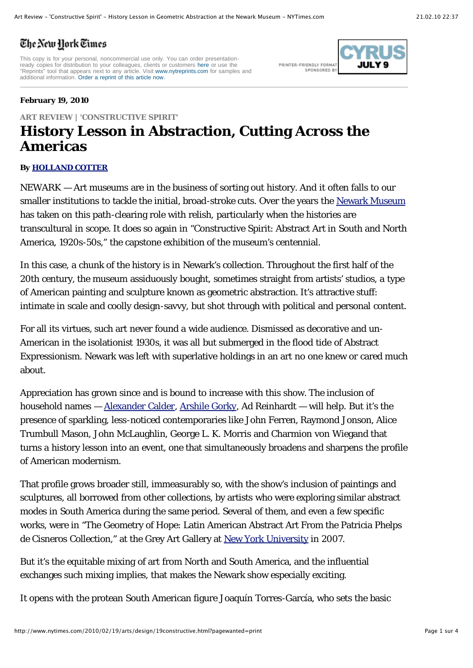## The New Hork Times

This copy is for your personal, noncommercial use only. You can order presentationready copies for distribution to your colleagues, clients or customers here or use the<br>"Reprints" tool that appears next to any article. Visit www.nytreprints.com for samples and additional information. Order a reprint of this article now.

PRINTER-FRIENDLY FORMAT SPONSORED R1



## **February 19, 2010**

## **ART REVIEW | 'CONSTRUCTIVE SPIRIT' History Lesson in Abstraction, Cutting Across the Americas**

## **By HOLLAND COTTER**

NEWARK — Art museums are in the business of sorting out history. And it often falls to our smaller institutions to tackle the initial, broad-stroke cuts. Over the years the Newark Museum has taken on this path-clearing role with relish, particularly when the histories are transcultural in scope. It does so again in "Constructive Spirit: Abstract Art in South and North America, 1920s-50s," the capstone exhibition of the museum's centennial.

In this case, a chunk of the history is in Newark's collection. Throughout the first half of the 20th century, the museum assiduously bought, sometimes straight from artists' studios, a type of American painting and sculpture known as geometric abstraction. It's attractive stuff: intimate in scale and coolly design-savvy, but shot through with political and personal content.

For all its virtues, such art never found a wide audience. Dismissed as decorative and un-American in the isolationist 1930s, it was all but submerged in the flood tide of Abstract Expressionism. Newark was left with superlative holdings in an art no one knew or cared much about.

Appreciation has grown since and is bound to increase with this show. The inclusion of household names — Alexander Calder, Arshile Gorky, Ad Reinhardt — will help. But it's the presence of sparkling, less-noticed contemporaries like John Ferren, Raymond Jonson, Alice Trumbull Mason, John McLaughlin, George L. K. Morris and Charmion von Wiegand that turns a history lesson into an event, one that simultaneously broadens and sharpens the profile of American modernism.

That profile grows broader still, immeasurably so, with the show's inclusion of paintings and sculptures, all borrowed from other collections, by artists who were exploring similar abstract modes in South America during the same period. Several of them, and even a few specific works, were in "The Geometry of Hope: Latin American Abstract Art From the Patricia Phelps de Cisneros Collection," at the Grey Art Gallery at New York University in 2007.

But it's the equitable mixing of art from North and South America, and the influential exchanges such mixing implies, that makes the Newark show especially exciting.

It opens with the protean South American figure Joaquín Torres-García, who sets the basic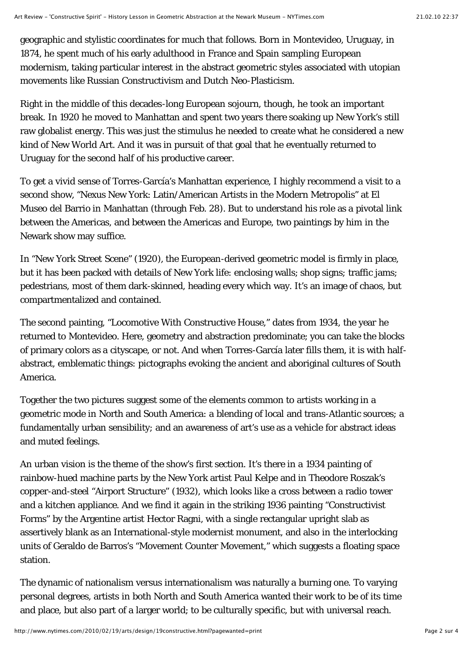geographic and stylistic coordinates for much that follows. Born in Montevideo, Uruguay, in 1874, he spent much of his early adulthood in France and Spain sampling European modernism, taking particular interest in the abstract geometric styles associated with utopian movements like Russian Constructivism and Dutch Neo-Plasticism.

Right in the middle of this decades-long European sojourn, though, he took an important break. In 1920 he moved to Manhattan and spent two years there soaking up New York's still raw globalist energy. This was just the stimulus he needed to create what he considered a new kind of New World Art. And it was in pursuit of that goal that he eventually returned to Uruguay for the second half of his productive career.

To get a vivid sense of Torres-García's Manhattan experience, I highly recommend a visit to a second show, "Nexus New York: Latin/American Artists in the Modern Metropolis" at El Museo del Barrio in Manhattan (through Feb. 28). But to understand his role as a pivotal link between the Americas, and between the Americas and Europe, two paintings by him in the Newark show may suffice.

In "New York Street Scene" (1920), the European-derived geometric model is firmly in place, but it has been packed with details of New York life: enclosing walls; shop signs; traffic jams; pedestrians, most of them dark-skinned, heading every which way. It's an image of chaos, but compartmentalized and contained.

The second painting, "Locomotive With Constructive House," dates from 1934, the year he returned to Montevideo. Here, geometry and abstraction predominate; you can take the blocks of primary colors as a cityscape, or not. And when Torres-García later fills them, it is with halfabstract, emblematic things: pictographs evoking the ancient and aboriginal cultures of South America.

Together the two pictures suggest some of the elements common to artists working in a geometric mode in North and South America: a blending of local and trans-Atlantic sources; a fundamentally urban sensibility; and an awareness of art's use as a vehicle for abstract ideas and muted feelings.

An urban vision is the theme of the show's first section. It's there in a 1934 painting of rainbow-hued machine parts by the New York artist Paul Kelpe and in Theodore Roszak's copper-and-steel "Airport Structure" (1932), which looks like a cross between a radio tower and a kitchen appliance. And we find it again in the striking 1936 painting "Constructivist Forms" by the Argentine artist Hector Ragni, with a single rectangular upright slab as assertively blank as an International-style modernist monument, and also in the interlocking units of Geraldo de Barros's "Movement Counter Movement," which suggests a floating space station.

The dynamic of nationalism versus internationalism was naturally a burning one. To varying personal degrees, artists in both North and South America wanted their work to be of its time and place, but also part of a larger world; to be culturally specific, but with universal reach.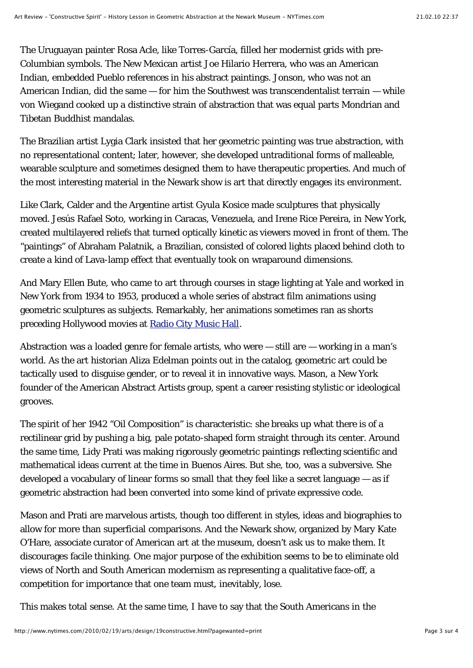The Uruguayan painter Rosa Acle, like Torres-García, filled her modernist grids with pre-Columbian symbols. The New Mexican artist Joe Hilario Herrera, who was an American Indian, embedded Pueblo references in his abstract paintings. Jonson, who was not an American Indian, did the same — for him the Southwest was transcendentalist terrain — while von Wiegand cooked up a distinctive strain of abstraction that was equal parts Mondrian and Tibetan Buddhist mandalas.

The Brazilian artist Lygia Clark insisted that her geometric painting was true abstraction, with no representational content; later, however, she developed untraditional forms of malleable, wearable sculpture and sometimes designed them to have therapeutic properties. And much of the most interesting material in the Newark show is art that directly engages its environment.

Like Clark, Calder and the Argentine artist Gyula Kosice made sculptures that physically moved. Jesús Rafael Soto, working in Caracas, Venezuela, and Irene Rice Pereira, in New York, created multilayered reliefs that turned optically kinetic as viewers moved in front of them. The "paintings" of Abraham Palatnik, a Brazilian, consisted of colored lights placed behind cloth to create a kind of Lava-lamp effect that eventually took on wraparound dimensions.

And Mary Ellen Bute, who came to art through courses in stage lighting at Yale and worked in New York from 1934 to 1953, produced a whole series of abstract film animations using geometric sculptures as subjects. Remarkably, her animations sometimes ran as shorts preceding Hollywood movies at Radio City Music Hall.

Abstraction was a loaded genre for female artists, who were — still are — working in a man's world. As the art historian Aliza Edelman points out in the catalog, geometric art could be tactically used to disguise gender, or to reveal it in innovative ways. Mason, a New York founder of the American Abstract Artists group, spent a career resisting stylistic or ideological grooves.

The spirit of her 1942 "Oil Composition" is characteristic: she breaks up what there is of a rectilinear grid by pushing a big, pale potato-shaped form straight through its center. Around the same time, Lidy Prati was making rigorously geometric paintings reflecting scientific and mathematical ideas current at the time in Buenos Aires. But she, too, was a subversive. She developed a vocabulary of linear forms so small that they feel like a secret language — as if geometric abstraction had been converted into some kind of private expressive code.

Mason and Prati are marvelous artists, though too different in styles, ideas and biographies to allow for more than superficial comparisons. And the Newark show, organized by Mary Kate O'Hare, associate curator of American art at the museum, doesn't ask us to make them. It discourages facile thinking. One major purpose of the exhibition seems to be to eliminate old views of North and South American modernism as representing a qualitative face-off, a competition for importance that one team must, inevitably, lose.

This makes total sense. At the same time, I have to say that the South Americans in the